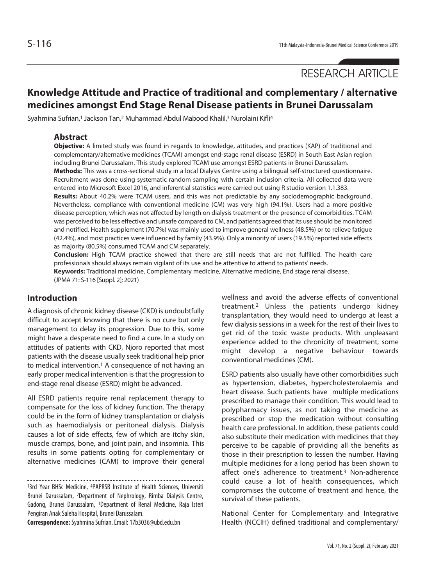RESEARCH ARTICLE

# **Knowledge Attitude and Practice of traditional and complementary / alternative medicines amongst End Stage Renal Disease patients in Brunei Darussalam**

Syahmina Sufrian,<sup>1</sup> Jackson Tan,<sup>2</sup> Muhammad Abdul Mabood Khalil,<sup>3</sup> Nurolaini Kifli<sup>4</sup>

#### **Abstract**

**Objective:** A limited study was found in regards to knowledge, attitudes, and practices (KAP) of traditional and complementary/alternative medicines (TCAM) amongst end-stage renal disease (ESRD) in South East Asian region including Brunei Darussalam. This study explored TCAM use amongst ESRD patients in Brunei Darussalam.

**Methods:** This was a cross-sectional study in a local Dialysis Centre using a bilingual self-structured questionnaire. Recruitment was done using systematic random sampling with certain inclusion criteria. All collected data were entered into Microsoft Excel 2016, and inferential statistics were carried out using R studio version 1.1.383.

**Results:** About 40.2% were TCAM users, and this was not predictable by any sociodemographic background. Nevertheless, compliance with conventional medicine (CM) was very high (94.1%). Users had a more positive disease perception, which was not affected by length on dialysis treatment or the presence of comorbidities. TCAM was perceived to be less effective and unsafe compared to CM, and patients agreed that its use should be monitored and notified. Health supplement (70.7%) was mainly used to improve general wellness (48.5%) or to relieve fatigue (42.4%), and most practices were influenced by family (43.9%). Only a minority of users (19.5%) reported side effects as majority (80.5%) consumed TCAM and CM separately.

**Conclusion:** High TCAM practice showed that there are still needs that are not fulfilled. The health care professionals should always remain vigilant of its use and be attentive to attend to patients' needs. **Keywords:** Traditional medicine, Complementary medicine, Alternative medicine, End stage renal disease. (JPMA 71: S-116 [Suppl. 2]; 2021)

## **Introduction**

A diagnosis of chronic kidney disease (CKD) is undoubtfully difficult to accept knowing that there is no cure but only management to delay its progression. Due to this, some might have a desperate need to find a cure. In a study on attitudes of patients with CKD, Njoro reported that most patients with the disease usually seek traditional help prior to medical intervention.<sup>1</sup> A consequence of not having an early proper medical intervention is that the progression to end-stage renal disease (ESRD) might be advanced.

All ESRD patients require renal replacement therapy to compensate for the loss of kidney function. The therapy could be in the form of kidney transplantation or dialysis such as haemodialysis or peritoneal dialysis. Dialysis causes a lot of side effects, few of which are itchy skin, muscle cramps, bone, and joint pain, and insomnia. This results in some patients opting for complementary or alternative medicines (CAM) to improve their general

13rd Year BHSc Medicine, 4PAPRSB Institute of Health Sciences, Universiti Brunei Darussalam, 2Department of Nephrology, Rimba Dialysis Centre, Gadong, Brunei Darussalam, 3Department of Renal Medicine, Raja Isteri Pengiran Anak Saleha Hospital, Brunei Darussalam.

**Correspondence:** Syahmina Sufrian. Email: 17b3036@ubd.edu.bn

wellness and avoid the adverse effects of conventional treatment.2 Unless the patients undergo kidney transplantation, they would need to undergo at least a few dialysis sessions in a week for the rest of their lives to get rid of the toxic waste products. With unpleasant experience added to the chronicity of treatment, some might develop a negative behaviour towards conventional medicines (CM).

ESRD patients also usually have other comorbidities such as hypertension, diabetes, hypercholesterolaemia and heart disease. Such patients have multiple medications prescribed to manage their condition. This would lead to polypharmacy issues, as not taking the medicine as prescribed or stop the medication without consulting health care professional. In addition, these patients could also substitute their medication with medicines that they perceive to be capable of providing all the benefits as those in their prescription to lessen the number. Having multiple medicines for a long period has been shown to affect one's adherence to treatment.<sup>3</sup> Non-adherence could cause a lot of health consequences, which compromises the outcome of treatment and hence, the survival of these patients.

National Center for Complementary and Integrative Health (NCCIH) defined traditional and complementary/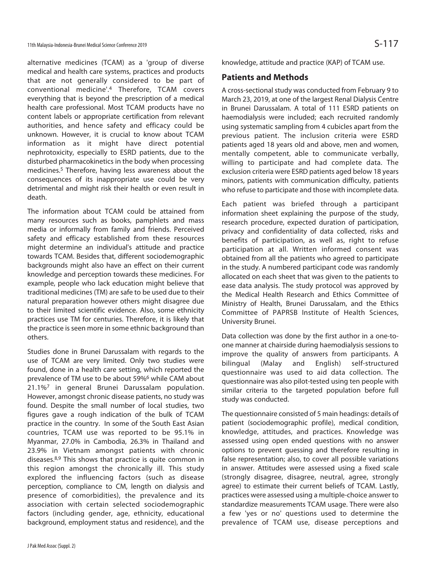alternative medicines (TCAM) as a 'group of diverse medical and health care systems, practices and products that are not generally considered to be part of conventional medicine'.4 Therefore, TCAM covers everything that is beyond the prescription of a medical health care professional. Most TCAM products have no content labels or appropriate certification from relevant authorities, and hence safety and efficacy could be unknown. However, it is crucial to know about TCAM information as it might have direct potential nephrotoxicity, especially to ESRD patients, due to the disturbed pharmacokinetics in the body when processing medicines.5 Therefore, having less awareness about the consequences of its inappropriate use could be very detrimental and might risk their health or even result in death.

The information about TCAM could be attained from many resources such as books, pamphlets and mass media or informally from family and friends. Perceived safety and efficacy established from these resources might determine an individual's attitude and practice towards TCAM. Besides that, different sociodemographic backgrounds might also have an effect on their current knowledge and perception towards these medicines. For example, people who lack education might believe that traditional medicines (TM) are safe to be used due to their natural preparation however others might disagree due to their limited scientific evidence. Also, some ethnicity practices use TM for centuries. Therefore, it is likely that the practice is seen more in some ethnic background than others.

Studies done in Brunei Darussalam with regards to the use of TCAM are very limited. Only two studies were found, done in a health care setting, which reported the prevalence of TM use to be about 59%6 while CAM about 21.1%7 in general Brunei Darussalam population. However, amongst chronic disease patients, no study was found. Despite the small number of local studies, two figures gave a rough indication of the bulk of TCAM practice in the country. In some of the South East Asian countries, TCAM use was reported to be 95.1% in Myanmar, 27.0% in Cambodia, 26.3% in Thailand and 23.9% in Vietnam amongst patients with chronic diseases.8,9 This shows that practice is quite common in this region amongst the chronically ill. This study explored the influencing factors (such as disease perception, compliance to CM, length on dialysis and presence of comorbidities), the prevalence and its association with certain selected sociodemographic factors (including gender, age, ethnicity, educational background, employment status and residence), and the knowledge, attitude and practice (KAP) of TCAM use.

## **Patients and Methods**

A cross-sectional study was conducted from February 9 to March 23, 2019, at one of the largest Renal Dialysis Centre in Brunei Darussalam. A total of 111 ESRD patients on haemodialysis were included; each recruited randomly using systematic sampling from 4 cubicles apart from the previous patient. The inclusion criteria were ESRD patients aged 18 years old and above, men and women, mentally competent, able to communicate verbally, willing to participate and had complete data. The exclusion criteria were ESRD patients aged below 18 years minors, patients with communication difficulty, patients who refuse to participate and those with incomplete data.

Each patient was briefed through a participant information sheet explaining the purpose of the study, research procedure, expected duration of participation, privacy and confidentiality of data collected, risks and benefits of participation, as well as, right to refuse participation at all. Written informed consent was obtained from all the patients who agreed to participate in the study. A numbered participant code was randomly allocated on each sheet that was given to the patients to ease data analysis. The study protocol was approved by the Medical Health Research and Ethics Committee of Ministry of Health, Brunei Darussalam, and the Ethics Committee of PAPRSB Institute of Health Sciences, University Brunei.

Data collection was done by the first author in a one-toone manner at chairside during haemodialysis sessions to improve the quality of answers from participants. A bilingual (Malay and English) self-structured questionnaire was used to aid data collection. The questionnaire was also pilot-tested using ten people with similar criteria to the targeted population before full study was conducted.

The questionnaire consisted of 5 main headings: details of patient (sociodemographic profile), medical condition, knowledge, attitudes, and practices. Knowledge was assessed using open ended questions with no answer options to prevent guessing and therefore resulting in false representation; also, to cover all possible variations in answer. Attitudes were assessed using a fixed scale (strongly disagree, disagree, neutral, agree, strongly agree) to estimate their current beliefs of TCAM. Lastly, practices were assessed using a multiple-choice answer to standardize measurements TCAM usage. There were also a few 'yes or no' questions used to determine the prevalence of TCAM use, disease perceptions and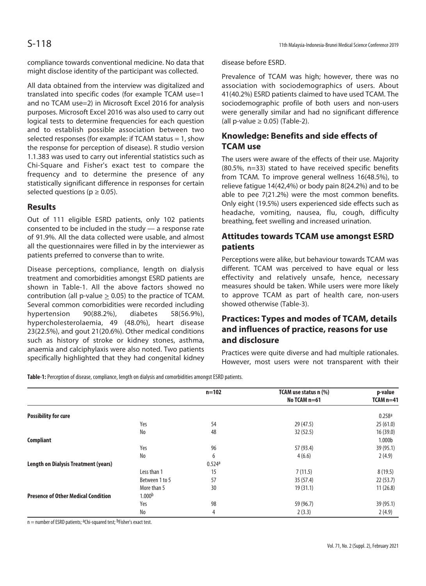compliance towards conventional medicine. No data that might disclose identity of the participant was collected.

All data obtained from the interview was digitalized and translated into specific codes (for example TCAM use=1 and no TCAM use=2) in Microsoft Excel 2016 for analysis purposes. Microsoft Excel 2016 was also used to carry out logical tests to determine frequencies for each question and to establish possible association between two selected responses (for example: if TCAM status = 1, show the response for perception of disease). R studio version 1.1.383 was used to carry out inferential statistics such as Chi-Square and Fisher's exact test to compare the frequency and to determine the presence of any statistically significant difference in responses for certain selected questions ( $p \ge 0.05$ ).

#### **Results**

Out of 111 eligible ESRD patients, only 102 patients consented to be included in the study — a response rate of 91.9%. All the data collected were usable, and almost all the questionnaires were filled in by the interviewer as patients preferred to converse than to write.

Disease perceptions, compliance, length on dialysis treatment and comorbidities amongst ESRD patients are shown in Table-1. All the above factors showed no contribution (all p-value  $\geq$  0.05) to the practice of TCAM. Several common comorbidities were recorded including hypertension 90(88.2%), diabetes 58(56.9%), hypercholesterolaemia, 49 (48.0%), heart disease 23(22.5%), and gout 21(20.6%). Other medical conditions such as history of stroke or kidney stones, asthma, anaemia and calciphylaxis were also noted. Two patients specifically highlighted that they had congenital kidney

disease before ESRD.

Prevalence of TCAM was high; however, there was no association with sociodemographics of users. About 41(40.2%) ESRD patients claimed to have used TCAM. The sociodemographic profile of both users and non-users were generally similar and had no significant difference (all p-value  $\geq$  0.05) (Table-2).

## **Knowledge: Benefits and side effects of TCAM use**

The users were aware of the effects of their use. Majority (80.5%, n=33) stated to have received specific benefits from TCAM. To improve general wellness 16(48.5%), to relieve fatigue 14(42,4%) or body pain 8(24.2%) and to be able to pee 7(21.2%) were the most common benefits. Only eight (19.5%) users experienced side effects such as headache, vomiting, nausea, flu, cough, difficulty breathing, feet swelling and increased urination.

## **Attitudes towards TCAM use amongst ESRD patients**

Perceptions were alike, but behaviour towards TCAM was different. TCAM was perceived to have equal or less effectivity and relatively unsafe, hence, necessary measures should be taken. While users were more likely to approve TCAM as part of health care, non-users showed otherwise (Table-3).

# **Practices: Types and modes of TCAM, details and influences of practice, reasons for use and disclosure**

Practices were quite diverse and had multiple rationales. However, most users were not transparent with their

**Table-1:** Perception of disease, compliance, length on dialysis and comorbidities amongst ESRD patients.

|                                             |                    | $n = 102$ | TCAM use status n (%) | p-value            |
|---------------------------------------------|--------------------|-----------|-----------------------|--------------------|
|                                             |                    |           | No TCAM n=61          | $TCAMn=41$         |
| <b>Possibility for cure</b>                 |                    |           |                       | 0.258a             |
|                                             | Yes                | 54        | 29 (47.5)             | 25(61.0)           |
|                                             | No                 | 48        | 32(52.5)              | 16 (39.0)          |
| <b>Compliant</b>                            |                    |           |                       | 1.000 <sub>b</sub> |
|                                             | Yes                | 96        | 57 (93.4)             | 39 (95.1)          |
|                                             | No                 | 6         | 4(6.6)                | 2(4.9)             |
| <b>Length on Dialysis Treatment (years)</b> |                    | 0.524a    |                       |                    |
|                                             | Less than 1        | 15        | 7(11.5)               | 8(19.5)            |
|                                             | Between 1 to 5     | 57        | 35(57.4)              | 22(53.7)           |
|                                             | More than 5        | 30        | 19(31.1)              | 11(26.8)           |
| <b>Presence of Other Medical Condition</b>  | 1.000 <sup>b</sup> |           |                       |                    |
|                                             | Yes                | 98        | 59 (96.7)             | 39 (95.1)          |
|                                             | No                 | 4         | 2(3.3)                | 2(4.9)             |

 $n =$  number of ESRD patients; <sup>a</sup>Chi-squared test; <sup>b</sup>Fisher's exact test.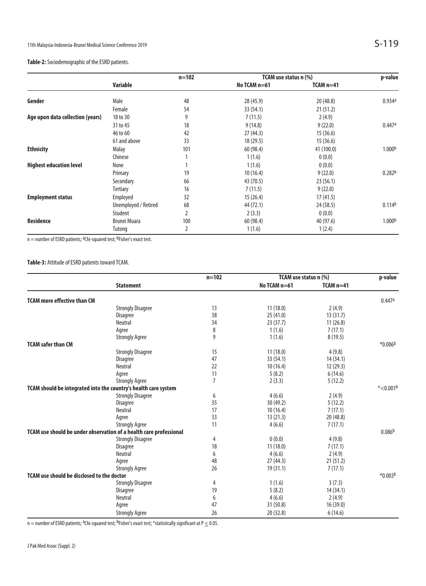|                                  |                      | $n = 102$      | TCAM use status n (%) |             | p-value            |
|----------------------------------|----------------------|----------------|-----------------------|-------------|--------------------|
|                                  | Variable             |                | No TCAM $n=61$        | $TCAM n=41$ |                    |
| Gender                           | Male                 | 48             | 28 (45.9)             | 20(48.8)    | 0.934a             |
|                                  | Female               | 54             | 33 (54.1)             | 21(51.2)    |                    |
| Age upon data collection (years) | 18 to 30             | 9              | 7(11.5)               | 2(4.9)      |                    |
|                                  | 31 to 45             | 18             | 9(14.8)               | 9(22.0)     | 0.447a             |
|                                  | 46 to 60             | 42             | 27(44.3)              | 15(36.6)    |                    |
|                                  | 61 and above         | 33             | 18 (29.5)             | 15(36.6)    |                    |
| <b>Ethnicity</b>                 | Malay                | 101            | 60 (98.4)             | 41 (100.0)  | 1.000 <sup>b</sup> |
|                                  | Chinese              |                | 1(1.6)                | 0(0.0)      |                    |
| <b>Highest education level</b>   | None                 |                | 1(1.6)                | 0(0.0)      |                    |
|                                  | Primary              | 19             | 10(16.4)              | 9(22.0)     | 0.282 <sup>b</sup> |
|                                  | Secondary            | 66             | 43 (70.5)             | 23(56.1)    |                    |
|                                  | Tertiary             | 16             | 7(11.5)               | 9(22.0)     |                    |
| <b>Employment status</b>         | Employed             | 32             | 15(26.4)              | 17(41.5)    |                    |
|                                  | Unemployed / Retired | 68             | 44 (72.1)             | 24 (58.5)   | 0.114 <sup>b</sup> |
|                                  | Student              | $\overline{2}$ | 2(3.3)                | 0(0.0)      |                    |
| Residence                        | <b>Brunei Muara</b>  | 100            | 60 (98.4)             | 40 (97.6)   | 1.000 <sup>b</sup> |
|                                  | Tutong               | 2              | 1(1.6)                | 1(2.4)      |                    |

 $n =$  number of ESRD patients; <sup>a</sup>Chi-squared test; <sup>b</sup>Fisher's exact test.

**Table-3:** Attitude of ESRD patients toward TCAM.

|                                                                    | <b>Statement</b>                                                | $n = 102$      | TCAM use status n (%) |             | p-value                 |
|--------------------------------------------------------------------|-----------------------------------------------------------------|----------------|-----------------------|-------------|-------------------------|
|                                                                    |                                                                 |                | No TCAM n=61          | $TCAM$ n=41 |                         |
| <b>TCAM</b> more effective than CM                                 |                                                                 |                |                       |             | 0.447a                  |
|                                                                    | <b>Strongly Disagree</b>                                        | 13             | 11(18.0)              | 2(4.9)      |                         |
|                                                                    | Disagree                                                        | 38             | 25(41.0)              | 13(31.7)    |                         |
|                                                                    | Neutral                                                         | 34             | 23(37.7)              | 11(26.8)    |                         |
|                                                                    | Agree                                                           | 8              | 1(1.6)                | 7(17.1)     |                         |
|                                                                    | <b>Strongly Agree</b>                                           | 9              | 1(1.6)                | 8(19.5)     |                         |
| <b>TCAM safer than CM</b>                                          |                                                                 |                |                       |             | $*0.006b$               |
|                                                                    | <b>Strongly Disagree</b>                                        | 15             | 11(18.0)              | 4(9.8)      |                         |
|                                                                    | Disagree                                                        | 47             | 33 (54.1)             | 14 (34.1)   |                         |
|                                                                    | <b>Neutral</b>                                                  | 22             | 10(16.4)              | 12(29.3)    |                         |
|                                                                    | Agree                                                           | 11             | 5(8.2)                | 6(14.6)     |                         |
|                                                                    | <b>Strongly Agree</b>                                           | $\overline{7}$ | 2(3.3)                | 5(12.2)     |                         |
|                                                                    | TCAM should be integrated into the country's health care system |                |                       |             | $*$ <0.001 <sup>b</sup> |
|                                                                    | <b>Strongly Disagree</b>                                        | 6              | 4(6.6)                | 2(4.9)      |                         |
|                                                                    | Disagree                                                        | 35             | 30(49.2)              | 5(12.2)     |                         |
|                                                                    | Neutral                                                         | 17             | 10(16.4)              | 7(17.1)     |                         |
|                                                                    | Agree                                                           | 33             | 13(21.3)              | 20 (48.8)   |                         |
|                                                                    | <b>Strongly Agree</b>                                           | 11             | 4(6.6)                | 7(17.1)     |                         |
| TCAM use should be under observation of a health care professional |                                                                 |                |                       |             | 0.086 <sup>b</sup>      |
|                                                                    | <b>Strongly Disagree</b>                                        | 4              | 0(0.0)                | 4(9.8)      |                         |
|                                                                    | Disagree                                                        | 18             | 11(18.0)              | 7(17.1)     |                         |
|                                                                    | <b>Neutral</b>                                                  | 6              | 4(6.6)                | 2(4.9)      |                         |
|                                                                    | Agree                                                           | 48             | 27(44.3)              | 21(51.2)    |                         |
|                                                                    | <b>Strongly Agree</b>                                           | 26             | 19(31.1)              | 7(17.1)     |                         |
| <b>TCAM</b> use should be disclosed to the doctor                  |                                                                 |                |                       |             | $*0.003b$               |
|                                                                    | <b>Strongly Disagree</b>                                        | 4              | 1(1.6)                | 3(7.3)      |                         |
|                                                                    | <b>Disagree</b>                                                 | 19             | 5(8.2)                | 14 (34.1)   |                         |
|                                                                    | Neutral                                                         | 6              | 4(6.6)                | 2(4.9)      |                         |
|                                                                    | Agree                                                           | 47             | 31(50.8)              | 16(39.0)    |                         |
|                                                                    | <b>Strongly Agree</b>                                           | 26             | 20 (32.8)             | 6(14.6)     |                         |

n = number of ESRD patients; <sup>a</sup>Chi-squared test; <sup>b</sup>Fisher's exact test; \*statistically significant at P  $\leq$  0.05.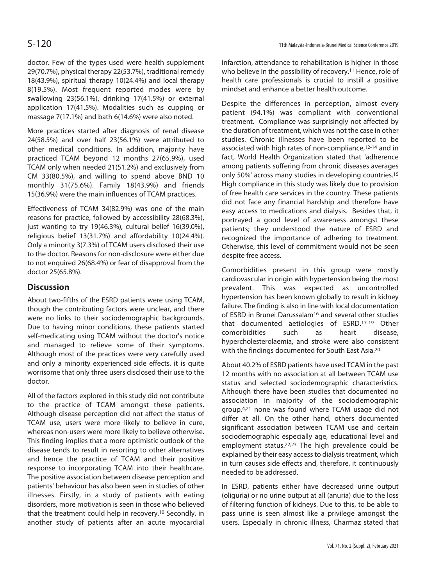doctor. Few of the types used were health supplement 29(70.7%), physical therapy 22(53.7%), traditional remedy 18(43.9%), spiritual therapy 10(24.4%) and local therapy 8(19.5%). Most frequent reported modes were by swallowing 23(56.1%), drinking 17(41.5%) or external application 17(41.5%). Modalities such as cupping or massage 7(17.1%) and bath 6(14.6%) were also noted.

More practices started after diagnosis of renal disease 24(58.5%) and over half 23(56.1%) were attributed to other medical conditions. In addition, majority have practiced TCAM beyond 12 months 27(65.9%), used TCAM only when needed 21(51.2%) and exclusively from CM 33(80.5%), and willing to spend above BND 10 monthly 31(75.6%). Family 18(43.9%) and friends 15(36.9%) were the main influences of TCAM practices.

Effectiveness of TCAM 34(82.9%) was one of the main reasons for practice, followed by accessibility 28(68.3%), just wanting to try 19(46.3%), cultural belief 16(39.0%), religious belief 13(31.7%) and affordability 10(24.4%). Only a minority 3(7.3%) of TCAM users disclosed their use to the doctor. Reasons for non-disclosure were either due to not enquired 26(68.4%) or fear of disapproval from the doctor 25(65.8%).

# **Discussion**

About two-fifths of the ESRD patients were using TCAM, though the contributing factors were unclear, and there were no links to their sociodemographic backgrounds. Due to having minor conditions, these patients started self-medicating using TCAM without the doctor's notice and managed to relieve some of their symptoms. Although most of the practices were very carefully used and only a minority experienced side effects, it is quite worrisome that only three users disclosed their use to the doctor.

All of the factors explored in this study did not contribute to the practice of TCAM amongst these patients. Although disease perception did not affect the status of TCAM use, users were more likely to believe in cure, whereas non-users were more likely to believe otherwise. This finding implies that a more optimistic outlook of the disease tends to result in resorting to other alternatives and hence the practice of TCAM and their positive response to incorporating TCAM into their healthcare. The positive association between disease perception and patients' behaviour has also been seen in studies of other illnesses. Firstly, in a study of patients with eating disorders, more motivation is seen in those who believed that the treatment could help in recovery.10 Secondly, in another study of patients after an acute myocardial infarction, attendance to rehabilitation is higher in those who believe in the possibility of recovery.<sup>11</sup> Hence, role of health care professionals is crucial to instill a positive mindset and enhance a better health outcome.

Despite the differences in perception, almost every patient (94.1%) was compliant with conventional treatment. Compliance was surprisingly not affected by the duration of treatment, which was not the case in other studies. Chronic illnesses have been reported to be associated with high rates of non-compliance,12-14 and in fact, World Health Organization stated that 'adherence among patients suffering from chronic diseases averages only 50%' across many studies in developing countries.15 High compliance in this study was likely due to provision of free health care services in the country. These patients did not face any financial hardship and therefore have easy access to medications and dialysis. Besides that, it portrayed a good level of awareness amongst these patients; they understood the nature of ESRD and recognized the importance of adhering to treatment. Otherwise, this level of commitment would not be seen despite free access.

Comorbidities present in this group were mostly cardiovascular in origin with hypertension being the most prevalent. This was expected as uncontrolled hypertension has been known globally to result in kidney failure. The finding is also in line with local documentation of ESRD in Brunei Darussalam16 and several other studies that documented aetiologies of ESRD.17-19 Other comorbidities such as heart disease, hypercholesterolaemia, and stroke were also consistent with the findings documented for South East Asia.20

About 40.2% of ESRD patients have used TCAM in the past 12 months with no association at all between TCAM use status and selected sociodemographic characteristics. Although there have been studies that documented no association in majority of the sociodemographic group,4,21 none was found where TCAM usage did not differ at all. On the other hand, others documented significant association between TCAM use and certain sociodemographic especially age, educational level and employment status.22,23 The high prevalence could be explained by their easy access to dialysis treatment, which in turn causes side effects and, therefore, it continuously needed to be addressed.

In ESRD, patients either have decreased urine output (oliguria) or no urine output at all (anuria) due to the loss of filtering function of kidneys. Due to this, to be able to pass urine is seen almost like a privilege amongst the users. Especially in chronic illness, Charmaz stated that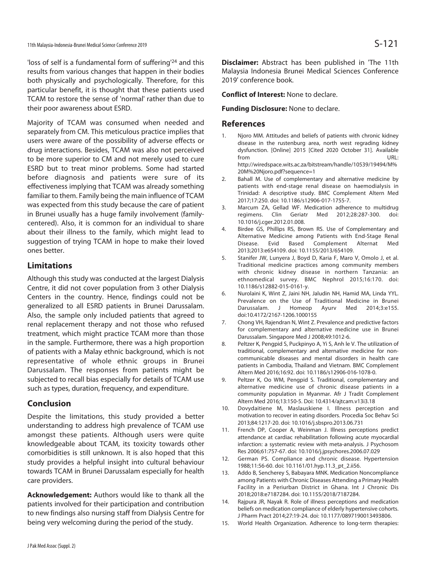'loss of self is a fundamental form of suffering'24 and this results from various changes that happen in their bodies both physically and psychologically. Therefore, for this particular benefit, it is thought that these patients used TCAM to restore the sense of 'normal' rather than due to their poor awareness about ESRD.

Majority of TCAM was consumed when needed and separately from CM. This meticulous practice implies that users were aware of the possibility of adverse effects or drug interactions. Besides, TCAM was also not perceived to be more superior to CM and not merely used to cure ESRD but to treat minor problems. Some had started before diagnosis and patients were sure of its effectiveness implying that TCAM was already something familiar to them. Family being the main influence of TCAM was expected from this study because the care of patient in Brunei usually has a huge family involvement (familycentered). Also, it is common for an individual to share about their illness to the family, which might lead to suggestion of trying TCAM in hope to make their loved ones better.

## **Limitations**

Although this study was conducted at the largest Dialysis Centre, it did not cover population from 3 other Dialysis Centers in the country. Hence, findings could not be generalized to all ESRD patients in Brunei Darussalam. Also, the sample only included patients that agreed to renal replacement therapy and not those who refused treatment, which might practice TCAM more than those in the sample. Furthermore, there was a high proportion of patients with a Malay ethnic background, which is not representative of whole ethnic groups in Brunei Darussalam. The responses from patients might be subjected to recall bias especially for details of TCAM use such as types, duration, frequency, and expenditure.

## **Conclusion**

Despite the limitations, this study provided a better understanding to address high prevalence of TCAM use amongst these patients. Although users were quite knowledgeable about TCAM, its toxicity towards other comorbidities is still unknown. It is also hoped that this study provides a helpful insight into cultural behaviour towards TCAM in Brunei Darussalam especially for health care providers.

**Acknowledgement:** Authors would like to thank all the patients involved for their participation and contribution to new findings also nursing staff from Dialysis Centre for being very welcoming during the period of the study.

**Disclaimer:** Abstract has been published in 'The 11th Malaysia Indonesia Brunei Medical Sciences Conference 2019' conference book.

**Conflict of Interest:** None to declare.

#### **Funding Disclosure:** None to declare.

#### **References**

- 1. Njoro MM. Attitudes and beliefs of patients with chronic kidney disease in the rustenburg area, north west regrading kidney dysfunction. [Online] 2015 [Cited 2020 October 31]. Available from URL: http://wiredspace.wits.ac.za/bitstream/handle/10539/19494/M% 20M%20Njoro.pdf?sequence=1
- 2. Bahall M. Use of complementary and alternative medicine by patients with end-stage renal disease on haemodialysis in Trinidad: A descriptive study. BMC Complement Altern Med 2017;17:250. doi: 10.1186/s12906-017-1755-7.
- 3. Marcum ZA, Gellad WF. Medication adherence to multidrug regimens. Clin Geriatr Med 2012;28:287-300. doi: 10.1016/j.cger.2012.01.008.
- 4. Birdee GS, Phillips RS, Brown RS. Use of Complementary and Alternative Medicine among Patients with End-Stage Renal Disease. Evid Based Complement Alternat Med 2013;2013:e654109. doi: 10.1155/2013/654109.
- 5. Stanifer JW, Lunyera J, Boyd D, Karia F, Maro V, Omolo J, et al. Traditional medicine practices among community members with chronic kidney disease in northern Tanzania: an ethnomedical survey. BMC Nephrol 2015;16:170. doi: 10.1186/s12882-015-0161-y.
- 6. Nurolaini K, Wint Z, Jaini NH, Jaludin NH, Hamid MA, Linda YYL. Prevalence on the Use of Traditional Medicine in Brunei Darussalam. J Homeop Ayurv Med 2014;3:e155. doi:10.4172/2167-1206.1000155
- 7. Chong VH, Rajendran N, Wint Z. Prevalence and predictive factors for complementary and alternative medicine use in Brunei Darussalam. Singapore Med J 2008;49:1012-6.
- 8. Peltzer K, Pengpid S, Puckpinyo A, Yi S, Anh le V. The utilization of traditional, complementary and alternative medicine for noncommunicable diseases and mental disorders in health care patients in Cambodia, Thailand and Vietnam. BMC Complement Altern Med 2016;16:92. doi: 10.1186/s12906-016-1078-0.
- 9. Peltzer K, Oo WM, Pengpid S. Traditional, complementary and alternative medicine use of chronic disease patients in a community population in Myanmar. Afr J Tradit Complement Altern Med 2016;13:150-5. Doi: 10.4314/ajtcam.v13i3.18
- 10. Dovydaitiene M, Maslauskiene I. Illness perception and motivation to recover in eating disorders. Procedia Soc Behav Sci 2013;84:1217-20. doi: 10.1016/j.sbspro.2013.06.731
- 11. French DP, Cooper A, Weinman J. Illness perceptions predict attendance at cardiac rehabilitation following acute myocardial infarction: a systematic review with meta-analysis. J Psychosom Res 2006;61:757-67. doi: 10.1016/j.jpsychores.2006.07.029
- 12. German PS. Compliance and chronic disease. Hypertension 1988;11:56-60. doi: 10.1161/01.hyp.11.3\_pt\_2.ii56.
- 13. Addo B, Sencherey S, Babayara MNK. Medication Noncompliance among Patients with Chronic Diseases Attending a Primary Health Facility in a Periurban District in Ghana. Int J Chronic Dis 2018;2018:e7187284. doi: 10.1155/2018/7187284.
- 14. Rajpura JR, Nayak R. Role of illness perceptions and medication beliefs on medication compliance of elderly hypertensive cohorts. J Pharm Pract 2014;27:19-24. doi: 10.1177/0897190013493806.
- 15. World Health Organization. Adherence to long-term therapies: